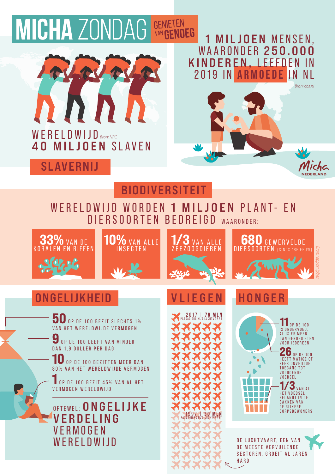# **MICHA ZONDAG GENIETEN**



### 1 MILJOEN MENSEN, WAARONDER 250.000 KINDEREN, LEEFDEN IN 2019 IN ARMOEDE IN NL 2019 IN **ARMOEDE** IN NL



**DERLAND** 

# 40 MILJOEN SLAVEN

# SLAVERNIJ

### **BIODIVERSITEIT**

# WERELDWIJD WORDEN 1 MILJOEN PLANT- EN DIERSOORTEN BEDREIGD WAARONDER:









# ONGELIJKHEID VLIEGE

50 OP DE 100 BEZIT SLECHTS 1% VAN HET WERELDWIJDE VERMOGEN

**9** OP DE 100 LEEFT VAN MINDER DAN 1,9 DOLLER PER DAG

10 OP DE 100 BEZITTEN MEER DAN 80% VAN HET WERELDWIJDE VERMOGEN

0 P D E 100 B E Z I T 45 % V A N A L H E T V E R M O G E N W E R E L D W I J D

OFTEWEL: ONGELIJKE **VERDELING VERMOGEN WERELDWIJD** 

**PASSAGIERS** 

# **HONGER**



11 OP DE 100<br>IS ONDERVOED, AL IS ER MEER DAN GENOEG ETEN VOOR IEDEREEN  $26$  OP DE 100

HEEFT MATIGE OF ZEER ONVEILIGE TOEGANG TOT V O L D O E N D E VOEDSEL

1/3 VAN AL BELANDT IN DE BAKKEN VAN<br>DE RIJKERE DORPSBEWONERS

DE LUCHTVAART, EEN VAN DE MEESTE VERVUILENDE SECTOREN, GROEIT AL JAREN HARD